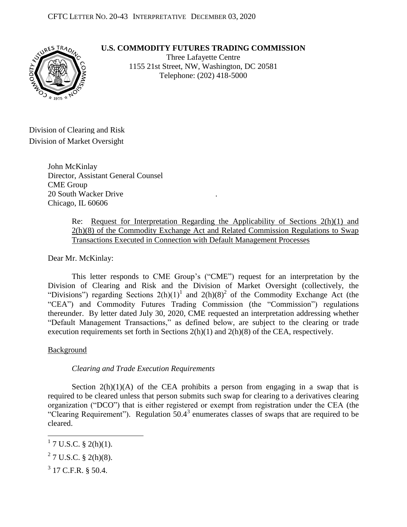**U.S. COMMODITY FUTURES TRADING COMMISSION**



Three Lafayette Centre 1155 21st Street, NW, Washington, DC 20581 Telephone: (202) 418-5000

Division of Clearing and Risk Division of Market Oversight

> John McKinlay Director, Assistant General Counsel CME Group 20 South Wacker Drive . Chicago, IL 60606

> > Re: Request for Interpretation Regarding the Applicability of Sections 2(h)(1) and 2(h)(8) of the Commodity Exchange Act and Related Commission Regulations to Swap Transactions Executed in Connection with Default Management Processes

Dear Mr. McKinlay:

This letter responds to CME Group's ("CME") request for an interpretation by the Division of Clearing and Risk and the Division of Market Oversight (collectively, the "Divisions") regarding Sections  $2(h)(1)^1$  and  $2(h)(8)^2$  of the Commodity Exchange Act (the "CEA") and Commodity Futures Trading Commission (the "Commission") regulations thereunder. By letter dated July 30, 2020, CME requested an interpretation addressing whether "Default Management Transactions," as defined below, are subject to the clearing or trade execution requirements set forth in Sections 2(h)(1) and 2(h)(8) of the CEA, respectively.

**Background** 

*Clearing and Trade Execution Requirements* 

Section  $2(h)(1)(A)$  of the CEA prohibits a person from engaging in a swap that is required to be cleared unless that person submits such swap for clearing to a derivatives clearing organization ("DCO") that is either registered or exempt from registration under the CEA (the "Clearing Requirement"). Regulation  $50.4<sup>3</sup>$  enumerates classes of swaps that are required to be cleared.

 $\overline{a}$ 

 $1$  7 U.S.C. § 2(h)(1).

 $27$  U.S.C. § 2(h)(8).

 $3$  17 C.F.R. § 50.4.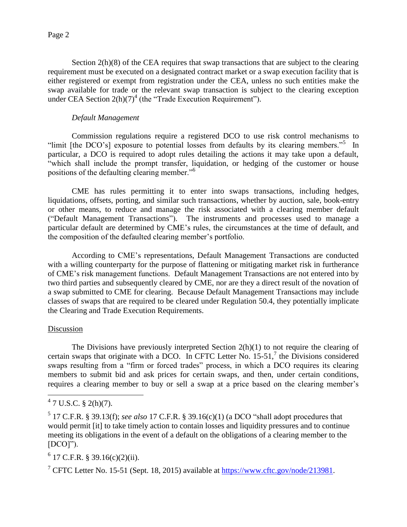Section 2(h)(8) of the CEA requires that swap transactions that are subject to the clearing requirement must be executed on a designated contract market or a swap execution facility that is either registered or exempt from registration under the CEA, unless no such entities make the swap available for trade or the relevant swap transaction is subject to the clearing exception under CEA Section  $2(h)(7)^4$  (the "Trade Execution Requirement").

## *Default Management*

Commission regulations require a registered DCO to use risk control mechanisms to "limit [the DCO's] exposure to potential losses from defaults by its clearing members."<sup>5</sup> In particular, a DCO is required to adopt rules detailing the actions it may take upon a default, "which shall include the prompt transfer, liquidation, or hedging of the customer or house positions of the defaulting clearing member."<sup>6</sup>

CME has rules permitting it to enter into swaps transactions, including hedges, liquidations, offsets, porting, and similar such transactions, whether by auction, sale, book-entry or other means, to reduce and manage the risk associated with a clearing member default ("Default Management Transactions"). The instruments and processes used to manage a particular default are determined by CME's rules, the circumstances at the time of default, and the composition of the defaulted clearing member's portfolio.

According to CME's representations, Default Management Transactions are conducted with a willing counterparty for the purpose of flattening or mitigating market risk in furtherance of CME's risk management functions. Default Management Transactions are not entered into by two third parties and subsequently cleared by CME, nor are they a direct result of the novation of a swap submitted to CME for clearing. Because Default Management Transactions may include classes of swaps that are required to be cleared under Regulation 50.4, they potentially implicate the Clearing and Trade Execution Requirements.

## Discussion

 The Divisions have previously interpreted Section 2(h)(1) to not require the clearing of certain swaps that originate with a DCO. In CFTC Letter No.  $15{\text -}51$ , the Divisions considered swaps resulting from a "firm or forced trades" process, in which a DCO requires its clearing members to submit bid and ask prices for certain swaps, and then, under certain conditions, requires a clearing member to buy or sell a swap at a price based on the clearing member's

 $47 \text{ U.S.C. } $2(h)(7)$ .

 $<sup>5</sup>$  17 C.F.R. § 39.13(f); *see also* 17 C.F.R. § 39.16(c)(1) (a DCO "shall adopt procedures that</sup> would permit [it] to take timely action to contain losses and liquidity pressures and to continue meeting its obligations in the event of a default on the obligations of a clearing member to the [DCO]").

 $6$  17 C.F.R. § 39.16(c)(2)(ii).

<sup>&</sup>lt;sup>7</sup> CFTC Letter No. 15-51 (Sept. 18, 2015) available at [https://www.cftc.gov/node/213981.](https://www.cftc.gov/node/213981)